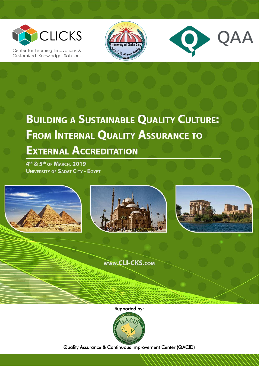

Center for Learning Innovations & Customized Knowledge Solutions





# **BUILDING A SUSTAINABLE QUALITY CULTURE: FROM INTERNAL QUALITY ASSURANCE TO EXTERNAL ACCREDITATION**

4<sup>th</sup> & 5<sup>th</sup> of MARCH, 2019 **UNIVERSITY OF SADAT CITY - EGYPT** 

**1 |** P a g e



Supported by:



Quality Assurance & Continuous Improvement Center (QACID)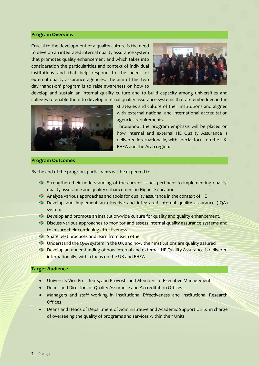#### **Program Overview**

Crucial to the development of a quality culture is the need to develop an integrated internal quality assurance system that promotes quality enhancement and which takes into consideration the particularities and context of individual institutions and that help respond to the needs of external quality assurance agencies. The aim of this two day 'hands-on' program is to raise awareness on how to



develop and sustain an internal quality culture and to build capacity among universities and colleges to enable them to develop internal quality assurance systems that are embedded in the



strategies and culture of their institutions and aligned with external national and international accreditation agencies requirements.

Throughout the program emphasis will be placed on how internal and external HE Quality Assurance is delivered internationally, with special focus on the UK, EHEA and the Arab region.

## **Program Outcomes**

By the end of the program, participants will be expected to:

- Strengthen their understanding of the current issues pertinent to implementing quality, quality assurance and quality enhancement in Higher Education.
- Analyze various approaches and tools for quality assurance in the context of HE
- Develop and implement an effective and integrated internal quality assurance (IQA) system.
- **C** Develop and promote an institution-wide culture for quality and quality enhancement.
- **Discuss various approaches to monitor and assess internal quality assurance systems and** to ensure their continuing effectiveness.
- Share best practices and learn from each other
- Understand the QAA system in the UK and how their institutions are quality assured
- Develop an understanding of how internal and external HE Quality Assurance is delivered internationally, with a focus on the UK and EHEA

## **Target Audience**

- University Vice Presidents, and Provosts and Members of Executive Management
- Deans and Directors of Quality Assurance and Accreditation Offices
- Managers and staff working in Institutional Effectiveness and Institutional Research **Offices**
- Deans and Heads of Department of Administrative and Academic Support Units in charge of overseeing the quality of programs and services within their Units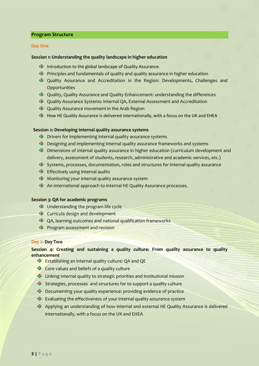## **Program Structure**

#### **Day One**

#### **Session 1: Understanding the quality landscape in higher education**

- **Introduction to the global landscape of Quality Assurance.**
- **C** Principles and fundamentals of quality and quality assurance in higher education
- Quality Assurance and Accreditation in the Region: Developments, Challenges and Opportunities
- Quality, Quality Assurance and Quality Enhancement: understanding the differences
- Quality Assurance Systems: Internal QA, External Assessment and Accreditation
- **C** Quality Assurance movement in the Arab Region
- **S** How HE Quality Assurance is delivered internationally, with a focus on the UK and EHEA

## **Session 2: Developing internal quality assurance systems**

- **C** Drivers for implementing internal quality assurance systems
- **C** Designing and implementing internal quality assurance frameworks and systems
- Dimensions of internal quality assurance in higher education (curriculum development and delivery, assessment of students, research, administrative and academic services, etc.)
- Systems, processes, documentation, roles and structures for internal quality assurance
- **Effectively using internal audits**
- **Monitoring your internal quality assurance system**
- **An international approach to internal HE Quality Assurance processes.**

### **Session 3: QA for academic programs**

- **C** Understanding the program life cycle
- Curricula design and development
- $\bullet$  QA, learning outcomes and national qualification frameworks
- **Program assessment and revision**

#### **Day 2: Day Two**

**Session 4: Creating and sustaining a quality culture: From quality assurance to quality enhancement**

- Establishing an internal quality culture: QA and QE
- Core values and beliefs of a quality culture
- **C** Linking internal quality to strategic priorities and institutional mission
- Strategies, processes and structures for to support a quality culture
- **Documenting your quality experience: providing evidence of practice**
- **Evaluating the effectiveness of your internal quality assurance system**
- Applying an understanding of how internal and external HE Quality Assurance is delivered internationally, with a focus on the UK and EHEA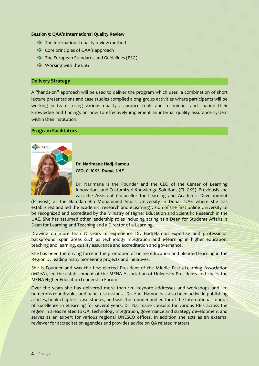#### **Session 5: QAA's International Quality Review**

- The International quality review method
- Core principles of QAA's approach
- **The European Standards and Guidelines (ESG)**
- **Working with the ESG**

## **Delivery Strategy**

A "hands-on" approach will be used to deliver the program which uses a combination of short lecture presentations and case studies compiled along group activities where participants will be working in teams using various quality assurance tools and techniques and sharing their knowledge and findings on how to effectively implement an internal quality assurance system within their institution.

## **Program Facilitators**



**Dr. Narimane Hadj-Hamou** *CEO, CLICKS, Dubai, UAE*

Dr. Narimane is the Founder and the CEO of the Center of Learning Innovations and Customized Knowledge Solutions (CLICKS). Previously she was the Assistant Chancellor for Learning and Academic Development

(Provost) at the Hamdan Bin Mohammed Smart University in Dubai, UAE where she has established and led the academic, research and eLearning vision of the first online University to be recognized and accredited by the Ministry of Higher Education and Scientific Research in the UAE. She has assumed other leadership roles including acting as a Dean for Students Affairs, a Dean for Learning and Teaching and a Director of e-Learning.

Drawing on more than 17 years of experience Dr. Hadj-Hamou expertise and professional background span areas such as technology integration and e-learning in higher education; teaching and learning, quality assurance and accreditation and governance.

She has been the driving force in the promotion of online education and blended learning in the Region by leading many pioneering projects and initiatives.

She is Founder and was the first elected President of the Middle East eLearning Association (MEeA), led the establishment of the MENA Association of University Presidents and chairs the MENA Higher Education Leadership Forum

Over the years she has delivered more than 120 keynote addresses and workshops and led numerous roundtables and panel discussions. Dr. Hadj-Hamou has also been active in publishing articles, book chapters, case studies, and was the founder and editor of the International Journal of Excellence in eLearning for several years. Dr. Narimane consults for various HEIs across the region in areas related to QA, technology integration, governance and strategy development and serves as an expert for various regional UNESCO offices. In addition she acts as an external reviewer for accreditation agencies and provides advice on QA related matters.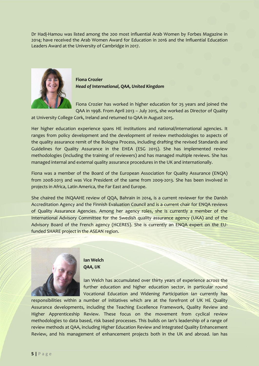Dr Hadj-Hamou was listed among the 200 most influential Arab Women by Forbes Magazine in 2014; have received the Arab Women Award for Education in 2016 and the Influential Education Leaders Award at the University of Cambridge in 2017.



**Fiona Crozier** *Head of International, QAA, United Kingdom*

Fiona Crozier has worked in higher education for 25 years and joined the QAA in 1998. From April 2013 – July 2015, she worked as Director of Quality

at University College Cork, Ireland and returned to QAA in August 2015.

Her higher education experience spans HE institutions and national/international agencies. It ranges from policy development and the development of review methodologies to aspects of the quality assurance remit of the Bologna Process, including drafting the revised Standards and Guidelines for Quality Assurance in the EHEA (ESG 2015). She has implemented review methodologies (including the training of reviewers) and has managed multiple reviews. She has managed internal and external quality assurance procedures in the UK and internationally.

Fiona was a member of the Board of the European Association for Quality Assurance (ENQA) from 2008-2013 and was Vice President of the same from 2009-2013. She has been involved in projects in Africa, Latin America, the Far East and Europe.

She chaired the INQAAHE review of QQA, Bahrain in 2014, is a current reviewer for the Danish Accreditation Agency and the Finnish Evaluation Council and is a current chair for ENQA reviews of Quality Assurance Agencies. Among her agency roles, she is currently a member of the International Advisory Committee for the Swedish quality assurance agency (UKA) and of the Advisory Board of the French agency (HCERES). She is currently an ENQA expert on the EUfunded SHARE project in the ASEAN region.



**Ian Welch** *QAA, UK*

Ian Welch has accumulated over thirty years of experience across the further education and higher education sector, in particular round Vocational Education and Widening Participation Ian currently has

responsibilities within a number of initiatives which are at the forefront of UK HE Quality Assurance developments, including the Teaching Excellence Framework, Quality Review and Higher Apprenticeship Review. These focus on the movement from cyclical review methodologies to data based, risk based processes. This builds on Ian's leadership of a range of review methods at QAA, including Higher Education Review and Integrated Quality Enhancement Review, and his management of enhancement projects both in the UK and abroad. Ian has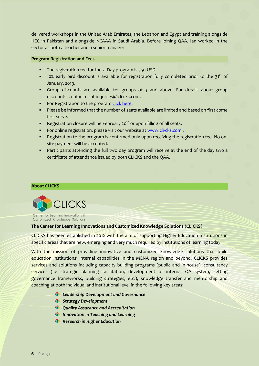delivered workshops in the United Arab Emirates, the Lebanon and Egypt and training alongside HEC in Pakistan and alongside NCAAA in Saudi Arabia. Before joining QAA, Ian worked in the sector as both a teacher and a senior manager.

#### **Program Registration and Fees**

- The registration fee for the 2- Day program is 550 USD.
- $10%$  early bird discount is available for registration fully completed prior to the 31<sup>st</sup> of January, 2019.
- Group discounts are available for groups of 3 and above. For details about group discounts, contact us at inquiries@cli-cks.com.
- For Registration to the program [click here.](http://www.cli-cks.com/schedule-of-public-capacity-building-programs-for-the-academic-year-2018-19)
- Please be informed that the number of seats available are limited and based on first come first serve.
- Registration closure will be February 20<sup>th</sup> or upon filling of all seats.
- For online registration, please visit our website a[t www.cli-cks.com](http://www.cli-cks.com/).
- Registration to the program is confirmed only upon receiving the registration fee. No onsite payment will be accepted.
- Participants attending the full two day program will receive at the end of the day two a certificate of attendance issued by both CLICKS and the QAA.

#### **About CLICKS**



Center for Learning Innovations & Customized Knowledge Solutions

## **The Center for Learning Innovations and Customized Knowledge Solutions (CLICKS)**

CLICKS has been established in 2012 with the aim of supporting Higher Education Institutions in specific areas that are new, emerging and very much required by institutions of learning today.

With the mission of providing innovative and customized knowledge solutions that build education institutions' internal capabilities in the MENA region and beyond. CLICKS provides services and solutions including capacity building programs (public and in-house), consultancy services (i.e strategic planning facilitation, development of internal QA system, setting governance frameworks, building strategies, etc.), knowledge transfer and mentorship and coaching at both individual and institutional level in the following key areas:

- *Leadership Development and Governance*
- *Strategy Development*
- *Quality Assurance and Accreditation*
- *Innovation in Teaching and Learning*
- *Research in Higher Education*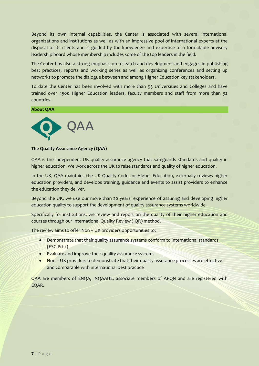Beyond its own internal capabilities, the Center is associated with several international organizations and institutions as well as with an impressive pool of international experts at the disposal of its clients and is guided by the knowledge and expertise of a formidable advisory leadership board whose membership includes some of the top leaders in the field.

The Center has also a strong emphasis on research and development and engages in publishing best practices, reports and working series as well as organizing conferences and setting up networks to promote the dialogue between and among Higher Education key stakeholders.

To date the Center has been involved with more than 95 Universities and Colleges and have trained over 4500 Higher Education leaders, faculty members and staff from more than 32 countries.

#### **About QAA**



#### **The Quality Assurance Agency (QAA)**

QAA is the independent UK quality assurance agency that safeguards standards and quality in higher education. We work across the UK to raise standards and quality of higher education.

In the UK, QAA maintains the UK Quality Code for Higher Education, externally reviews higher education providers, and develops training, guidance and events to assist providers to enhance the education they deliver.

Beyond the UK, we use our more than 20 years' experience of assuring and developing higher education quality to support the development of quality assurance systems worldwide.

Specifically for institutions, we review and report on the quality of their higher education and courses through our International Quality Review (IQR) method.

The review aims to offer Non – UK providers opportunities to:

- Demonstrate that their quality assurance systems conform to international standards (ESG Prt 1)
- Evaluate and improve their quality assurance systems
- Non UK providers to demonstrate that their quality assurance processes are effective and comparable with international best practice

QAA are members of ENQA, INQAAHE, associate members of APQN and are registered with EQAR.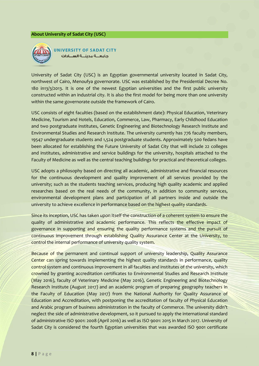#### **About University of Sadat City (USC)**



**UNIVERSITY OF SADAT CITY** حامعـــة مدىنـــة الســـادات

University of Sadat City (USC) is an Egyptian governmental university located in Sadat City, northwest of Cairo, Menoufya governorate. USC was established by the Presidential Decree No. 180 in13/3/2013. It is one of the newest Egyptian universities and the first public university constructed within an industrial city. It is also the first model for being more than one university within the same governorate outside the framework of Cairo.

USC consists of eight faculties (based on the establishment date): Physical Education, Veterinary Medicine, Tourism and Hotels, Education, Commerce, Law, Pharmacy, Early Childhood Education and two postgraduate institutes, Genetic Engineering and Biotechnology Research Institute and Environmental Studies and Research Institute. The university currently has 776 faculty members, 19547 undergraduate students and 1,524 postgraduate students. Approximately 500 fedans have been allocated for establishing the Future University of Sadat City that will include 22 colleges and institutes, administrative and service buildings for the university, hospitals attached to the Faculty of Medicine as well as the central teaching buildings for practical and theoretical colleges.

USC adopts a philosophy based on directing all academic, administrative and financial resources for the continuous development and quality improvement of all services provided by the university; such as the students teaching services, producing high quality academic and applied researches based on the real needs of the community, in addition to community services, environmental development plans and participation of all partners inside and outside the university to achieve excellence in performance based on the highest quality standards.

Since its inception, USC has taken upon itself the construction of a coherent system to ensure the quality of administrative and academic performance. This reflects the effective impact of governance in supporting and ensuring the quality performance systems and the pursuit of continuous improvement through establishing Quality Assurance Center at the University, to control the internal performance of university quality system.

Because of the permanent and continual support of university leadership, Quality Assurance Center can spring towards implementing the highest quality standards in performance, quality control system and continuous improvement in all faculties and institutes of the university, which crowned by granting accreditation certificates to Environmental Studies and Research Institute (May 2016), faculty of Veterinary Medicine (May 2016), Genetic Engineering and Biotechnology Research Institute (August 2017) and an academic program of preparing geography teachers in the Faculty of Education (May 2017) from the National Authority for Quality Assurance of Education and Accreditation, with postponing the accreditation of faculty of Physical Education and Arabic program of business administration in the faculty of Commerce. The university didn't neglect the side of administrative development, so it pursued to apply the international standard of administrative ISO 9001: 2008 (April 2016) as well as ISO 9001: 2015 in March 2017. University of Sadat City is considered the fourth Egyptian universities that was awarded ISO 9001 certificate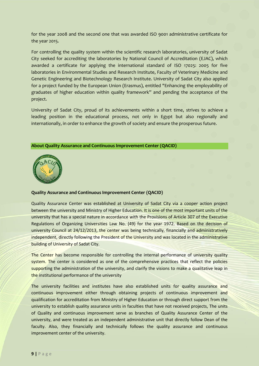for the year 2008 and the second one that was awarded ISO 9001 administrative certificate for the year 2015.

For controlling the quality system within the scientific research laboratories, university of Sadat City seeked for accrediting the laboratories by National Council of Accreditation (EJAC), which awarded a certificate for applying the international standard of ISO 17025: 2005 for five laboratories in Environmental Studies and Research Institute, Faculty of Veterinary Medicine and Genetic Engineering and Biotechnology Research Institute. University of Sadat City also applied for a project funded by the European Union (Erasmus), entitled "Enhancing the employability of graduates of higher education within quality framework" and pending the acceptance of the project.

University of Sadat City, proud of its achievements within a short time, strives to achieve a leading position in the educational process, not only in Egypt but also regionally and internationally, in order to enhance the growth of society and ensure the prosperous future.

#### **About Quality Assurance and Continuous Improvement Center (QACID)**



## **Quality Assurance and Continuous Improvement Center (QACID)**

Quality Assurance Center was established at University of Sadat City via a cooper action project between the university and Ministry of Higher Education. It is one of the most important units of the university that has a special nature in accordance with the Provisions of Article 307 of the Executive Regulations of Organizing Universities Law No. (49) for the year 1972. Based on the decision of university Council at 24/12/2013, the center was being technically, financially and administratively independent, directly following the President of the University and was located in the administrative building of University of Sadat City.

The Center has become responsible for controlling the internal performance of university quality system. The center is considered as one of the comprehensive practices that reflect the policies supporting the administration of the university, and clarify the visions to make a qualitative leap in the institutional performance of the university

The university facilities and institutes have also established units for quality assurance and continuous improvement either through obtaining projects of continuous improvement and qualification for accreditation from Ministry of Higher Education or through direct support from the university to establish quality assurance units in faculties that have not received projects, The units of Quality and continuous improvement serve as branches of Quality Assurance Center of the university, and were treated as an independent administrative unit that directly follow Dean of the faculty. Also, they financially and technically follows the quality assurance and continuous improvement center of the university.